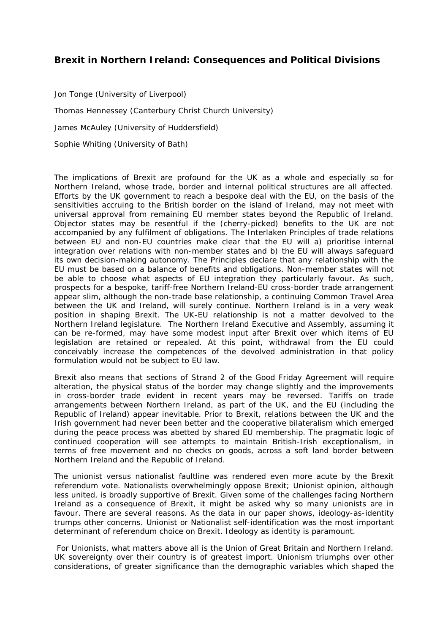## **Brexit in Northern Ireland: Consequences and Political Divisions**

Jon Tonge (University of Liverpool) Thomas Hennessey (Canterbury Christ Church University) James McAuley (University of Huddersfield) Sophie Whiting (University of Bath)

The implications of Brexit are profound for the UK as a whole and especially so for Northern Ireland, whose trade, border and internal political structures are all affected. Efforts by the UK government to reach a bespoke deal with the EU, on the basis of the sensitivities accruing to the British border on the island of Ireland, may not meet with universal approval from remaining EU member states beyond the Republic of Ireland. Objector states may be resentful if the (cherry-picked) benefits to the UK are not accompanied by any fulfilment of obligations. The Interlaken Principles of trade relations between EU and non-EU countries make clear that the EU will a) prioritise internal integration over relations with non-member states and b) the EU will always safeguard its own decision-making autonomy. The Principles declare that any relationship with the EU must be based on a balance of benefits and obligations. Non-member states will not be able to choose what aspects of EU integration they particularly favour. As such, prospects for a bespoke, tariff-free Northern Ireland-EU cross-border trade arrangement appear slim, although the non-trade base relationship, a continuing Common Travel Area between the UK and Ireland, will surely continue. Northern Ireland is in a very weak position in shaping Brexit. The UK-EU relationship is not a matter devolved to the Northern Ireland legislature. The Northern Ireland Executive and Assembly, assuming it can be re-formed, may have some modest input *after* Brexit over which items of EU legislation are retained or repealed. At this point, withdrawal from the EU could conceivably increase the competences of the devolved administration in that policy formulation would not be subject to EU law.

Brexit also means that sections of Strand 2 of the Good Friday Agreement will require alteration, the physical status of the border may change slightly and the improvements in cross-border trade evident in recent years may be reversed. Tariffs on trade arrangements between Northern Ireland, as part of the UK, and the EU (including the Republic of Ireland) appear inevitable. Prior to Brexit, relations between the UK and the Irish government had never been better and the cooperative bilateralism which emerged during the peace process was abetted by shared EU membership. The pragmatic logic of continued cooperation will see attempts to maintain British-Irish exceptionalism, in terms of free movement and no checks on goods, across a soft land border between Northern Ireland and the Republic of Ireland.

The unionist versus nationalist faultline was rendered even more acute by the Brexit referendum vote. Nationalists overwhelmingly oppose Brexit; Unionist opinion, although less united, is broadly supportive of Brexit. Given some of the challenges facing Northern Ireland as a consequence of Brexit, it might be asked why so many unionists are in favour. There are several reasons. As the data in our paper shows, ideology-as-identity trumps other concerns. Unionist or Nationalist self-identification was the most important determinant of referendum choice on Brexit. Ideology as identity is paramount.

For Unionists, what matters above all is the Union of Great Britain and Northern Ireland. UK sovereignty over their country is of greatest import. Unionism triumphs over other considerations, of greater significance than the demographic variables which shaped the